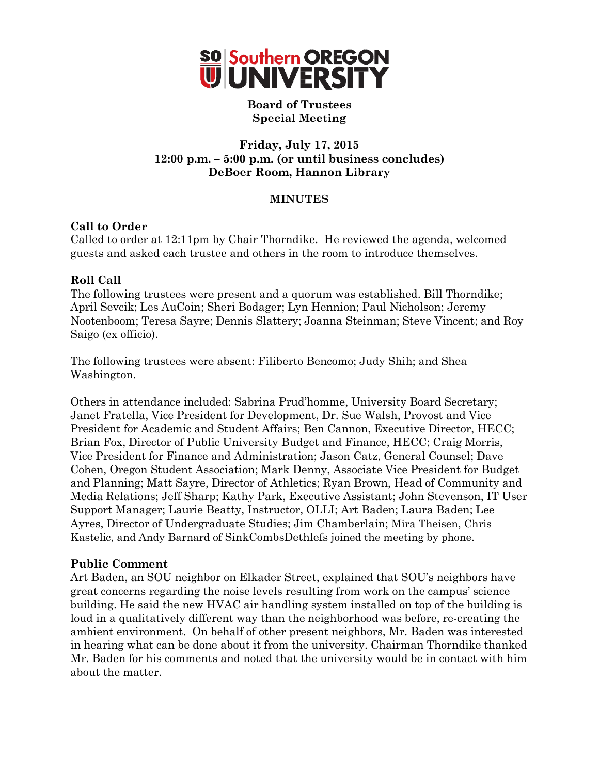

#### **Board of Trustees Special Meeting**

## **Friday, July 17, 2015 12:00 p.m. – 5:00 p.m. (or until business concludes) DeBoer Room, Hannon Library**

## **MINUTES**

## **Call to Order**

Called to order at 12:11pm by Chair Thorndike. He reviewed the agenda, welcomed guests and asked each trustee and others in the room to introduce themselves.

## **Roll Call**

The following trustees were present and a quorum was established. Bill Thorndike; April Sevcik; Les AuCoin; Sheri Bodager; Lyn Hennion; Paul Nicholson; Jeremy Nootenboom; Teresa Sayre; Dennis Slattery; Joanna Steinman; Steve Vincent; and Roy Saigo (ex officio).

The following trustees were absent: Filiberto Bencomo; Judy Shih; and Shea Washington.

Others in attendance included: Sabrina Prud'homme, University Board Secretary; Janet Fratella, Vice President for Development, Dr. Sue Walsh, Provost and Vice President for Academic and Student Affairs; Ben Cannon, Executive Director, HECC; Brian Fox, Director of Public University Budget and Finance, HECC; Craig Morris, Vice President for Finance and Administration; Jason Catz, General Counsel; Dave Cohen, Oregon Student Association; Mark Denny, Associate Vice President for Budget and Planning; Matt Sayre, Director of Athletics; Ryan Brown, Head of Community and Media Relations; Jeff Sharp; Kathy Park, Executive Assistant; John Stevenson, IT User Support Manager; Laurie Beatty, Instructor, OLLI; Art Baden; Laura Baden; Lee Ayres, Director of Undergraduate Studies; Jim Chamberlain; Mira Theisen, Chris Kastelic, and Andy Barnard of SinkCombsDethlefs joined the meeting by phone.

## **Public Comment**

Art Baden, an SOU neighbor on Elkader Street, explained that SOU's neighbors have great concerns regarding the noise levels resulting from work on the campus' science building. He said the new HVAC air handling system installed on top of the building is loud in a qualitatively different way than the neighborhood was before, re-creating the ambient environment. On behalf of other present neighbors, Mr. Baden was interested in hearing what can be done about it from the university. Chairman Thorndike thanked Mr. Baden for his comments and noted that the university would be in contact with him about the matter.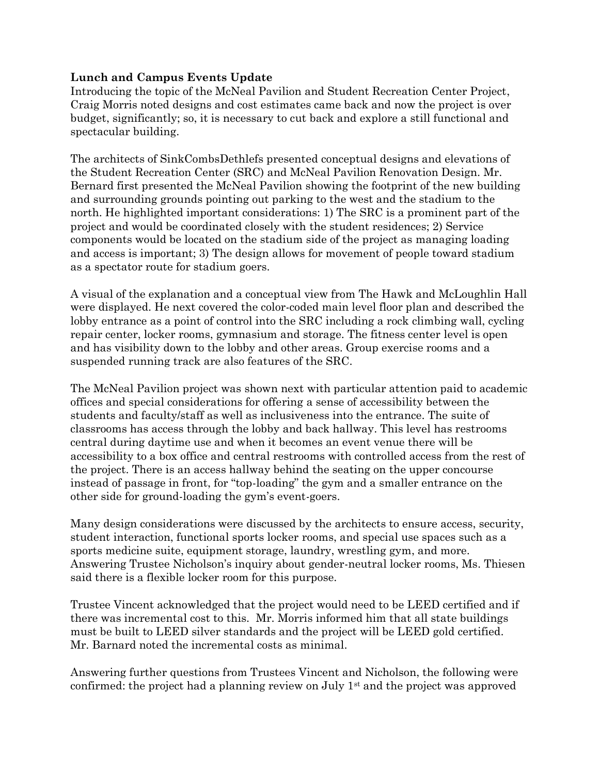## **Lunch and Campus Events Update**

Introducing the topic of the McNeal Pavilion and Student Recreation Center Project, Craig Morris noted designs and cost estimates came back and now the project is over budget, significantly; so, it is necessary to cut back and explore a still functional and spectacular building.

The architects of SinkCombsDethlefs presented conceptual designs and elevations of the Student Recreation Center (SRC) and McNeal Pavilion Renovation Design. Mr. Bernard first presented the McNeal Pavilion showing the footprint of the new building and surrounding grounds pointing out parking to the west and the stadium to the north. He highlighted important considerations: 1) The SRC is a prominent part of the project and would be coordinated closely with the student residences; 2) Service components would be located on the stadium side of the project as managing loading and access is important; 3) The design allows for movement of people toward stadium as a spectator route for stadium goers.

A visual of the explanation and a conceptual view from The Hawk and McLoughlin Hall were displayed. He next covered the color-coded main level floor plan and described the lobby entrance as a point of control into the SRC including a rock climbing wall, cycling repair center, locker rooms, gymnasium and storage. The fitness center level is open and has visibility down to the lobby and other areas. Group exercise rooms and a suspended running track are also features of the SRC.

The McNeal Pavilion project was shown next with particular attention paid to academic offices and special considerations for offering a sense of accessibility between the students and faculty/staff as well as inclusiveness into the entrance. The suite of classrooms has access through the lobby and back hallway. This level has restrooms central during daytime use and when it becomes an event venue there will be accessibility to a box office and central restrooms with controlled access from the rest of the project. There is an access hallway behind the seating on the upper concourse instead of passage in front, for "top-loading" the gym and a smaller entrance on the other side for ground-loading the gym's event-goers.

Many design considerations were discussed by the architects to ensure access, security, student interaction, functional sports locker rooms, and special use spaces such as a sports medicine suite, equipment storage, laundry, wrestling gym, and more. Answering Trustee Nicholson's inquiry about gender-neutral locker rooms, Ms. Thiesen said there is a flexible locker room for this purpose.

Trustee Vincent acknowledged that the project would need to be LEED certified and if there was incremental cost to this. Mr. Morris informed him that all state buildings must be built to LEED silver standards and the project will be LEED gold certified. Mr. Barnard noted the incremental costs as minimal.

Answering further questions from Trustees Vincent and Nicholson, the following were confirmed: the project had a planning review on July 1st and the project was approved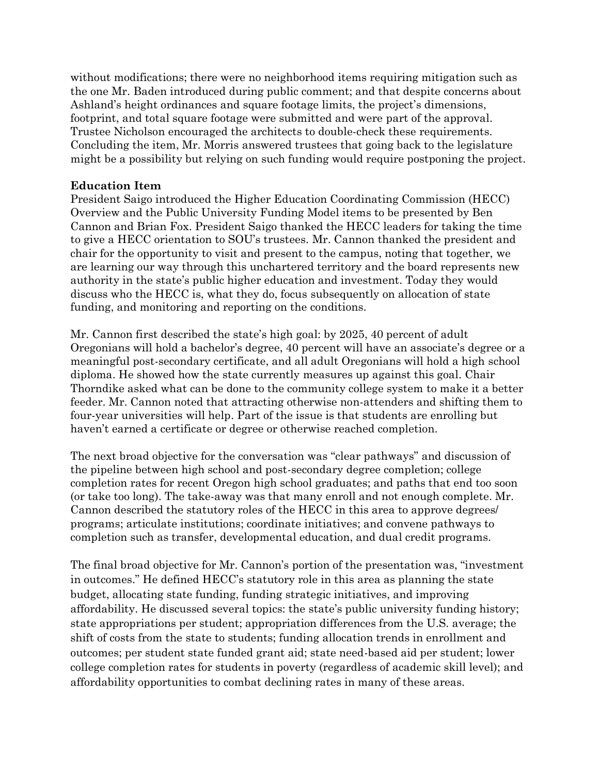without modifications; there were no neighborhood items requiring mitigation such as the one Mr. Baden introduced during public comment; and that despite concerns about Ashland's height ordinances and square footage limits, the project's dimensions, footprint, and total square footage were submitted and were part of the approval. Trustee Nicholson encouraged the architects to double-check these requirements. Concluding the item, Mr. Morris answered trustees that going back to the legislature might be a possibility but relying on such funding would require postponing the project.

#### **Education Item**

President Saigo introduced the Higher Education Coordinating Commission (HECC) Overview and the Public University Funding Model items to be presented by Ben Cannon and Brian Fox. President Saigo thanked the HECC leaders for taking the time to give a HECC orientation to SOU's trustees. Mr. Cannon thanked the president and chair for the opportunity to visit and present to the campus, noting that together, we are learning our way through this unchartered territory and the board represents new authority in the state's public higher education and investment. Today they would discuss who the HECC is, what they do, focus subsequently on allocation of state funding, and monitoring and reporting on the conditions.

Mr. Cannon first described the state's high goal: by 2025, 40 percent of adult Oregonians will hold a bachelor's degree, 40 percent will have an associate's degree or a meaningful post-secondary certificate, and all adult Oregonians will hold a high school diploma. He showed how the state currently measures up against this goal. Chair Thorndike asked what can be done to the community college system to make it a better feeder. Mr. Cannon noted that attracting otherwise non-attenders and shifting them to four-year universities will help. Part of the issue is that students are enrolling but haven't earned a certificate or degree or otherwise reached completion.

The next broad objective for the conversation was "clear pathways" and discussion of the pipeline between high school and post-secondary degree completion; college completion rates for recent Oregon high school graduates; and paths that end too soon (or take too long). The take-away was that many enroll and not enough complete. Mr. Cannon described the statutory roles of the HECC in this area to approve degrees/ programs; articulate institutions; coordinate initiatives; and convene pathways to completion such as transfer, developmental education, and dual credit programs.

The final broad objective for Mr. Cannon's portion of the presentation was, "investment in outcomes." He defined HECC's statutory role in this area as planning the state budget, allocating state funding, funding strategic initiatives, and improving affordability. He discussed several topics: the state's public university funding history; state appropriations per student; appropriation differences from the U.S. average; the shift of costs from the state to students; funding allocation trends in enrollment and outcomes; per student state funded grant aid; state need-based aid per student; lower college completion rates for students in poverty (regardless of academic skill level); and affordability opportunities to combat declining rates in many of these areas.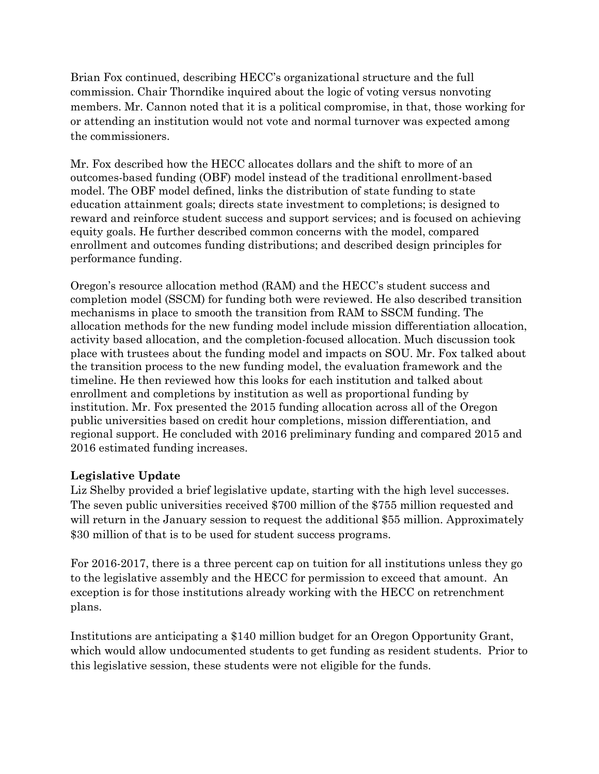Brian Fox continued, describing HECC's organizational structure and the full commission. Chair Thorndike inquired about the logic of voting versus nonvoting members. Mr. Cannon noted that it is a political compromise, in that, those working for or attending an institution would not vote and normal turnover was expected among the commissioners.

Mr. Fox described how the HECC allocates dollars and the shift to more of an outcomes-based funding (OBF) model instead of the traditional enrollment-based model. The OBF model defined, links the distribution of state funding to state education attainment goals; directs state investment to completions; is designed to reward and reinforce student success and support services; and is focused on achieving equity goals. He further described common concerns with the model, compared enrollment and outcomes funding distributions; and described design principles for performance funding.

Oregon's resource allocation method (RAM) and the HECC's student success and completion model (SSCM) for funding both were reviewed. He also described transition mechanisms in place to smooth the transition from RAM to SSCM funding. The allocation methods for the new funding model include mission differentiation allocation, activity based allocation, and the completion-focused allocation. Much discussion took place with trustees about the funding model and impacts on SOU. Mr. Fox talked about the transition process to the new funding model, the evaluation framework and the timeline. He then reviewed how this looks for each institution and talked about enrollment and completions by institution as well as proportional funding by institution. Mr. Fox presented the 2015 funding allocation across all of the Oregon public universities based on credit hour completions, mission differentiation, and regional support. He concluded with 2016 preliminary funding and compared 2015 and 2016 estimated funding increases.

## **Legislative Update**

Liz Shelby provided a brief legislative update, starting with the high level successes. The seven public universities received \$700 million of the \$755 million requested and will return in the January session to request the additional \$55 million. Approximately \$30 million of that is to be used for student success programs.

For 2016-2017, there is a three percent cap on tuition for all institutions unless they go to the legislative assembly and the HECC for permission to exceed that amount. An exception is for those institutions already working with the HECC on retrenchment plans.

Institutions are anticipating a \$140 million budget for an Oregon Opportunity Grant, which would allow undocumented students to get funding as resident students. Prior to this legislative session, these students were not eligible for the funds.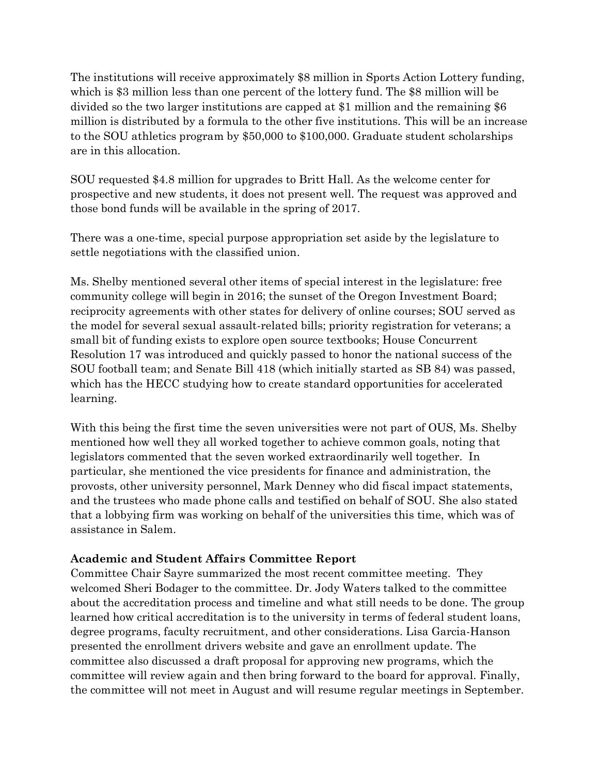The institutions will receive approximately \$8 million in Sports Action Lottery funding, which is \$3 million less than one percent of the lottery fund. The \$8 million will be divided so the two larger institutions are capped at \$1 million and the remaining \$6 million is distributed by a formula to the other five institutions. This will be an increase to the SOU athletics program by \$50,000 to \$100,000. Graduate student scholarships are in this allocation.

SOU requested \$4.8 million for upgrades to Britt Hall. As the welcome center for prospective and new students, it does not present well. The request was approved and those bond funds will be available in the spring of 2017.

There was a one-time, special purpose appropriation set aside by the legislature to settle negotiations with the classified union.

Ms. Shelby mentioned several other items of special interest in the legislature: free community college will begin in 2016; the sunset of the Oregon Investment Board; reciprocity agreements with other states for delivery of online courses; SOU served as the model for several sexual assault-related bills; priority registration for veterans; a small bit of funding exists to explore open source textbooks; House Concurrent Resolution 17 was introduced and quickly passed to honor the national success of the SOU football team; and Senate Bill 418 (which initially started as SB 84) was passed, which has the HECC studying how to create standard opportunities for accelerated learning.

With this being the first time the seven universities were not part of OUS, Ms. Shelby mentioned how well they all worked together to achieve common goals, noting that legislators commented that the seven worked extraordinarily well together. In particular, she mentioned the vice presidents for finance and administration, the provosts, other university personnel, Mark Denney who did fiscal impact statements, and the trustees who made phone calls and testified on behalf of SOU. She also stated that a lobbying firm was working on behalf of the universities this time, which was of assistance in Salem.

# **Academic and Student Affairs Committee Report**

Committee Chair Sayre summarized the most recent committee meeting. They welcomed Sheri Bodager to the committee. Dr. Jody Waters talked to the committee about the accreditation process and timeline and what still needs to be done. The group learned how critical accreditation is to the university in terms of federal student loans, degree programs, faculty recruitment, and other considerations. Lisa Garcia-Hanson presented the enrollment drivers website and gave an enrollment update. The committee also discussed a draft proposal for approving new programs, which the committee will review again and then bring forward to the board for approval. Finally, the committee will not meet in August and will resume regular meetings in September.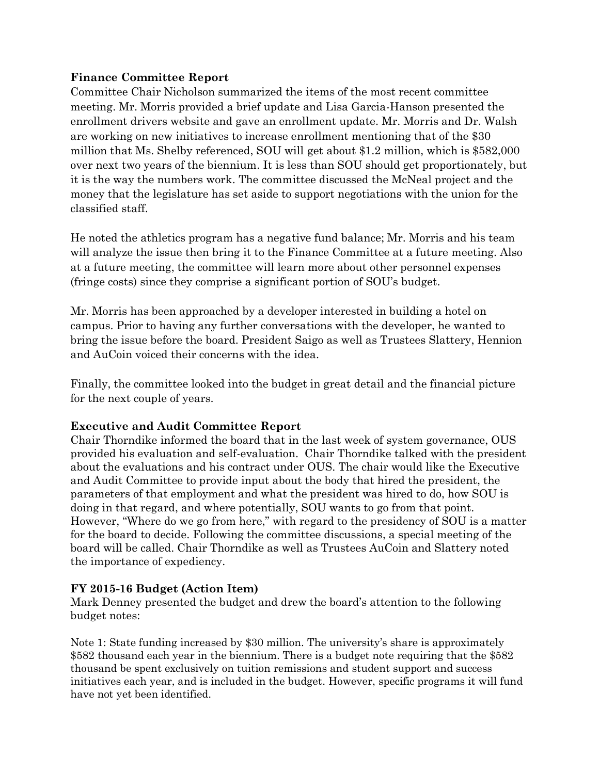## **Finance Committee Report**

Committee Chair Nicholson summarized the items of the most recent committee meeting. Mr. Morris provided a brief update and Lisa Garcia-Hanson presented the enrollment drivers website and gave an enrollment update. Mr. Morris and Dr. Walsh are working on new initiatives to increase enrollment mentioning that of the \$30 million that Ms. Shelby referenced, SOU will get about \$1.2 million, which is \$582,000 over next two years of the biennium. It is less than SOU should get proportionately, but it is the way the numbers work. The committee discussed the McNeal project and the money that the legislature has set aside to support negotiations with the union for the classified staff.

He noted the athletics program has a negative fund balance; Mr. Morris and his team will analyze the issue then bring it to the Finance Committee at a future meeting. Also at a future meeting, the committee will learn more about other personnel expenses (fringe costs) since they comprise a significant portion of SOU's budget.

Mr. Morris has been approached by a developer interested in building a hotel on campus. Prior to having any further conversations with the developer, he wanted to bring the issue before the board. President Saigo as well as Trustees Slattery, Hennion and AuCoin voiced their concerns with the idea.

Finally, the committee looked into the budget in great detail and the financial picture for the next couple of years.

# **Executive and Audit Committee Report**

Chair Thorndike informed the board that in the last week of system governance, OUS provided his evaluation and self-evaluation. Chair Thorndike talked with the president about the evaluations and his contract under OUS. The chair would like the Executive and Audit Committee to provide input about the body that hired the president, the parameters of that employment and what the president was hired to do, how SOU is doing in that regard, and where potentially, SOU wants to go from that point. However, "Where do we go from here," with regard to the presidency of SOU is a matter for the board to decide. Following the committee discussions, a special meeting of the board will be called. Chair Thorndike as well as Trustees AuCoin and Slattery noted the importance of expediency.

# **FY 2015-16 Budget (Action Item)**

Mark Denney presented the budget and drew the board's attention to the following budget notes:

Note 1: State funding increased by \$30 million. The university's share is approximately \$582 thousand each year in the biennium. There is a budget note requiring that the \$582 thousand be spent exclusively on tuition remissions and student support and success initiatives each year, and is included in the budget. However, specific programs it will fund have not yet been identified.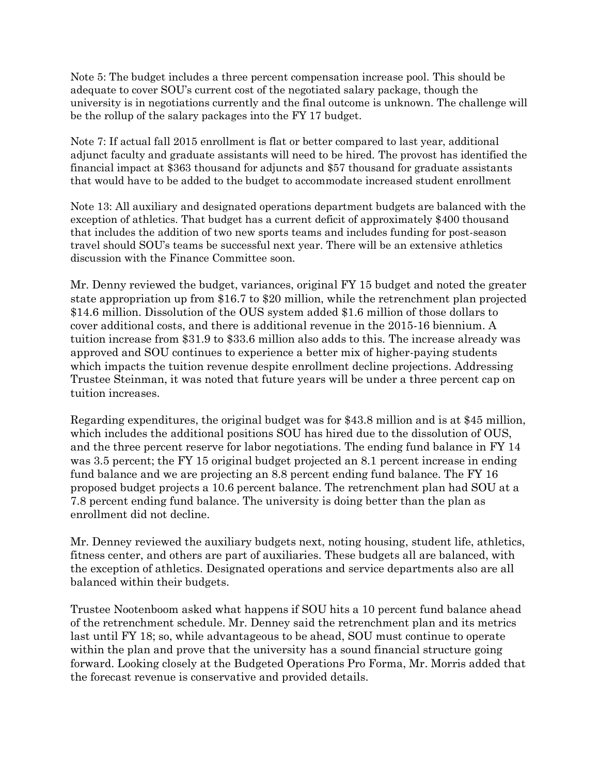Note 5: The budget includes a three percent compensation increase pool. This should be adequate to cover SOU's current cost of the negotiated salary package, though the university is in negotiations currently and the final outcome is unknown. The challenge will be the rollup of the salary packages into the FY 17 budget.

Note 7: If actual fall 2015 enrollment is flat or better compared to last year, additional adjunct faculty and graduate assistants will need to be hired. The provost has identified the financial impact at \$363 thousand for adjuncts and \$57 thousand for graduate assistants that would have to be added to the budget to accommodate increased student enrollment

Note 13: All auxiliary and designated operations department budgets are balanced with the exception of athletics. That budget has a current deficit of approximately \$400 thousand that includes the addition of two new sports teams and includes funding for post-season travel should SOU's teams be successful next year. There will be an extensive athletics discussion with the Finance Committee soon.

Mr. Denny reviewed the budget, variances, original FY 15 budget and noted the greater state appropriation up from \$16.7 to \$20 million, while the retrenchment plan projected \$14.6 million. Dissolution of the OUS system added \$1.6 million of those dollars to cover additional costs, and there is additional revenue in the 2015-16 biennium. A tuition increase from \$31.9 to \$33.6 million also adds to this. The increase already was approved and SOU continues to experience a better mix of higher-paying students which impacts the tuition revenue despite enrollment decline projections. Addressing Trustee Steinman, it was noted that future years will be under a three percent cap on tuition increases.

Regarding expenditures, the original budget was for \$43.8 million and is at \$45 million, which includes the additional positions SOU has hired due to the dissolution of OUS, and the three percent reserve for labor negotiations. The ending fund balance in FY 14 was 3.5 percent; the FY 15 original budget projected an 8.1 percent increase in ending fund balance and we are projecting an 8.8 percent ending fund balance. The FY 16 proposed budget projects a 10.6 percent balance. The retrenchment plan had SOU at a 7.8 percent ending fund balance. The university is doing better than the plan as enrollment did not decline.

Mr. Denney reviewed the auxiliary budgets next, noting housing, student life, athletics, fitness center, and others are part of auxiliaries. These budgets all are balanced, with the exception of athletics. Designated operations and service departments also are all balanced within their budgets.

Trustee Nootenboom asked what happens if SOU hits a 10 percent fund balance ahead of the retrenchment schedule. Mr. Denney said the retrenchment plan and its metrics last until FY 18; so, while advantageous to be ahead, SOU must continue to operate within the plan and prove that the university has a sound financial structure going forward. Looking closely at the Budgeted Operations Pro Forma, Mr. Morris added that the forecast revenue is conservative and provided details.